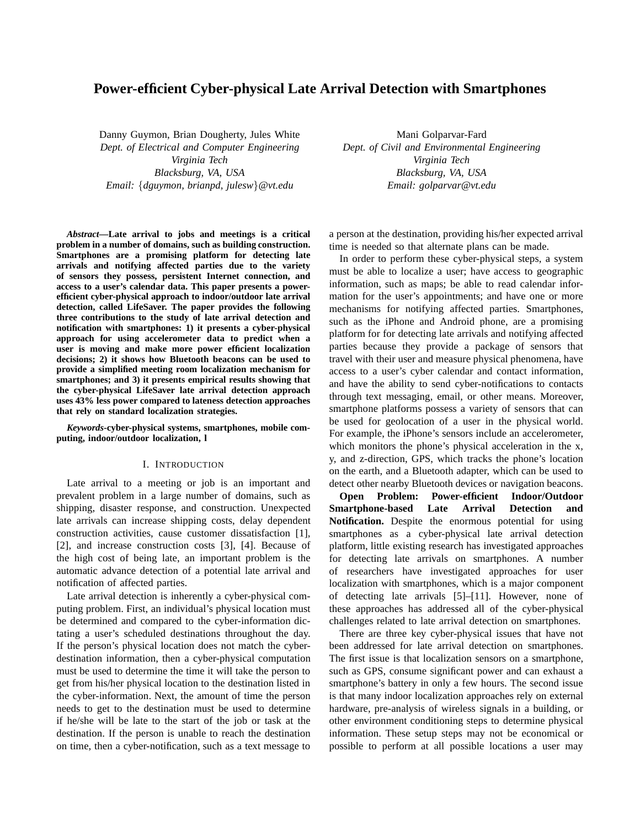# **Power-efficient Cyber-physical Late Arrival Detection with Smartphones**

Danny Guymon, Brian Dougherty, Jules White *Dept. of Electrical and Computer Engineering Virginia Tech Blacksburg, VA, USA Email:* {*dguymon, brianpd, julesw*}*@vt.edu*

*Abstract***—Late arrival to jobs and meetings is a critical problem in a number of domains, such as building construction. Smartphones are a promising platform for detecting late arrivals and notifying affected parties due to the variety of sensors they possess, persistent Internet connection, and access to a user's calendar data. This paper presents a powerefficient cyber-physical approach to indoor/outdoor late arrival detection, called LifeSaver. The paper provides the following three contributions to the study of late arrival detection and notification with smartphones: 1) it presents a cyber-physical approach for using accelerometer data to predict when a user is moving and make more power efficient localization decisions; 2) it shows how Bluetooth beacons can be used to provide a simplified meeting room localization mechanism for smartphones; and 3) it presents empirical results showing that the cyber-physical LifeSaver late arrival detection approach uses 43% less power compared to lateness detection approaches that rely on standard localization strategies.**

*Keywords***-cyber-physical systems, smartphones, mobile computing, indoor/outdoor localization, l**

#### I. INTRODUCTION

Late arrival to a meeting or job is an important and prevalent problem in a large number of domains, such as shipping, disaster response, and construction. Unexpected late arrivals can increase shipping costs, delay dependent construction activities, cause customer dissatisfaction [1], [2], and increase construction costs [3], [4]. Because of the high cost of being late, an important problem is the automatic advance detection of a potential late arrival and notification of affected parties.

Late arrival detection is inherently a cyber-physical computing problem. First, an individual's physical location must be determined and compared to the cyber-information dictating a user's scheduled destinations throughout the day. If the person's physical location does not match the cyberdestination information, then a cyber-physical computation must be used to determine the time it will take the person to get from his/her physical location to the destination listed in the cyber-information. Next, the amount of time the person needs to get to the destination must be used to determine if he/she will be late to the start of the job or task at the destination. If the person is unable to reach the destination on time, then a cyber-notification, such as a text message to

Mani Golparvar-Fard *Dept. of Civil and Environmental Engineering Virginia Tech Blacksburg, VA, USA Email: golparvar@vt.edu*

a person at the destination, providing his/her expected arrival time is needed so that alternate plans can be made.

In order to perform these cyber-physical steps, a system must be able to localize a user; have access to geographic information, such as maps; be able to read calendar information for the user's appointments; and have one or more mechanisms for notifying affected parties. Smartphones, such as the iPhone and Android phone, are a promising platform for for detecting late arrivals and notifying affected parties because they provide a package of sensors that travel with their user and measure physical phenomena, have access to a user's cyber calendar and contact information, and have the ability to send cyber-notifications to contacts through text messaging, email, or other means. Moreover, smartphone platforms possess a variety of sensors that can be used for geolocation of a user in the physical world. For example, the iPhone's sensors include an accelerometer, which monitors the phone's physical acceleration in the x, y, and z-direction, GPS, which tracks the phone's location on the earth, and a Bluetooth adapter, which can be used to detect other nearby Bluetooth devices or navigation beacons.

**Open Problem: Power-efficient Indoor/Outdoor Smartphone-based Late Arrival Detection and Notification.** Despite the enormous potential for using smartphones as a cyber-physical late arrival detection platform, little existing research has investigated approaches for detecting late arrivals on smartphones. A number of researchers have investigated approaches for user localization with smartphones, which is a major component of detecting late arrivals [5]–[11]. However, none of these approaches has addressed all of the cyber-physical challenges related to late arrival detection on smartphones.

There are three key cyber-physical issues that have not been addressed for late arrival detection on smartphones. The first issue is that localization sensors on a smartphone, such as GPS, consume significant power and can exhaust a smartphone's battery in only a few hours. The second issue is that many indoor localization approaches rely on external hardware, pre-analysis of wireless signals in a building, or other environment conditioning steps to determine physical information. These setup steps may not be economical or possible to perform at all possible locations a user may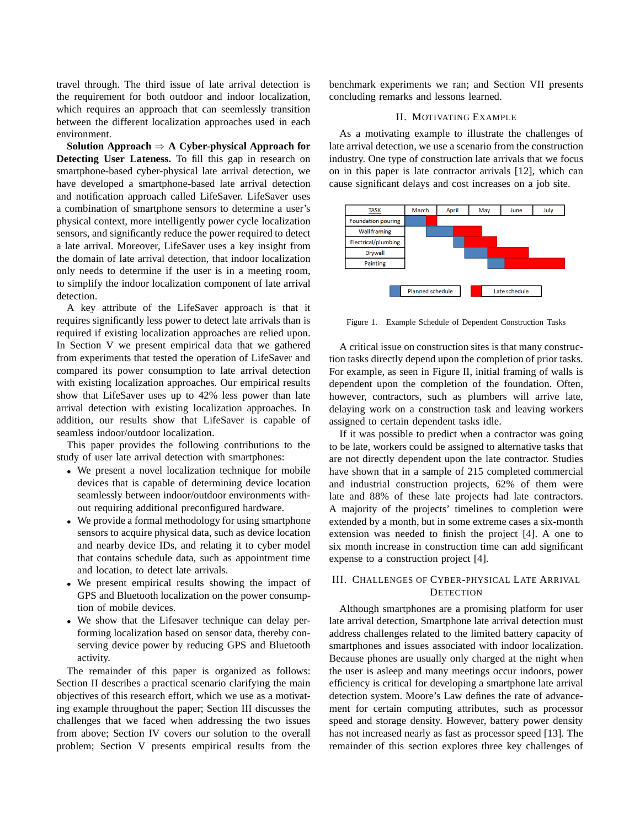travel through. The third issue of late arrival detection is the requirement for both outdoor and indoor localization, which requires an approach that can seemlessly transition between the different localization approaches used in each environment.

**Solution Approach** ⇒ **A Cyber-physical Approach for Detecting User Lateness.** To fill this gap in research on smartphone-based cyber-physical late arrival detection, we have developed a smartphone-based late arrival detection and notification approach called LifeSaver. LifeSaver uses a combination of smartphone sensors to determine a user's physical context, more intelligently power cycle localization sensors, and significantly reduce the power required to detect a late arrival. Moreover, LifeSaver uses a key insight from the domain of late arrival detection, that indoor localization only needs to determine if the user is in a meeting room, to simplify the indoor localization component of late arrival detection.

A key attribute of the LifeSaver approach is that it requires significantly less power to detect late arrivals than is required if existing localization approaches are relied upon. In Section V we present empirical data that we gathered from experiments that tested the operation of LifeSaver and compared its power consumption to late arrival detection with existing localization approaches. Our empirical results show that LifeSaver uses up to 42% less power than late arrival detection with existing localization approaches. In addition, our results show that LifeSaver is capable of seamless indoor/outdoor localization.

This paper provides the following contributions to the study of user late arrival detection with smartphones:

- We present a novel localization technique for mobile devices that is capable of determining device location seamlessly between indoor/outdoor environments without requiring additional preconfigured hardware.
- We provide a formal methodology for using smartphone sensors to acquire physical data, such as device location and nearby device IDs, and relating it to cyber model that contains schedule data, such as appointment time and location, to detect late arrivals.
- We present empirical results showing the impact of GPS and Bluetooth localization on the power consumption of mobile devices.
- We show that the Lifesaver technique can delay performing localization based on sensor data, thereby conserving device power by reducing GPS and Bluetooth activity.

The remainder of this paper is organized as follows: Section II describes a practical scenario clarifying the main objectives of this research effort, which we use as a motivating example throughout the paper; Section III discusses the challenges that we faced when addressing the two issues from above; Section IV covers our solution to the overall problem; Section V presents empirical results from the benchmark experiments we ran; and Section VII presents concluding remarks and lessons learned.

#### II. MOTIVATING EXAMPLE

As a motivating example to illustrate the challenges of late arrival detection, we use a scenario from the construction industry. One type of construction late arrivals that we focus on in this paper is late contractor arrivals [12], which can cause significant delays and cost increases on a job site.



Figure 1. Example Schedule of Dependent Construction Tasks

A critical issue on construction sites is that many construction tasks directly depend upon the completion of prior tasks. For example, as seen in Figure II, initial framing of walls is dependent upon the completion of the foundation. Often, however, contractors, such as plumbers will arrive late, delaying work on a construction task and leaving workers assigned to certain dependent tasks idle.

If it was possible to predict when a contractor was going to be late, workers could be assigned to alternative tasks that are not directly dependent upon the late contractor. Studies have shown that in a sample of 215 completed commercial and industrial construction projects, 62% of them were late and 88% of these late projects had late contractors. A majority of the projects' timelines to completion were extended by a month, but in some extreme cases a six-month extension was needed to finish the project [4]. A one to six month increase in construction time can add significant expense to a construction project [4].

# III. CHALLENGES OF CYBER-PHYSICAL LATE ARRIVAL **DETECTION**

Although smartphones are a promising platform for user late arrival detection, Smartphone late arrival detection must address challenges related to the limited battery capacity of smartphones and issues associated with indoor localization. Because phones are usually only charged at the night when the user is asleep and many meetings occur indoors, power efficiency is critical for developing a smartphone late arrival detection system. Moore's Law defines the rate of advancement for certain computing attributes, such as processor speed and storage density. However, battery power density has not increased nearly as fast as processor speed [13]. The remainder of this section explores three key challenges of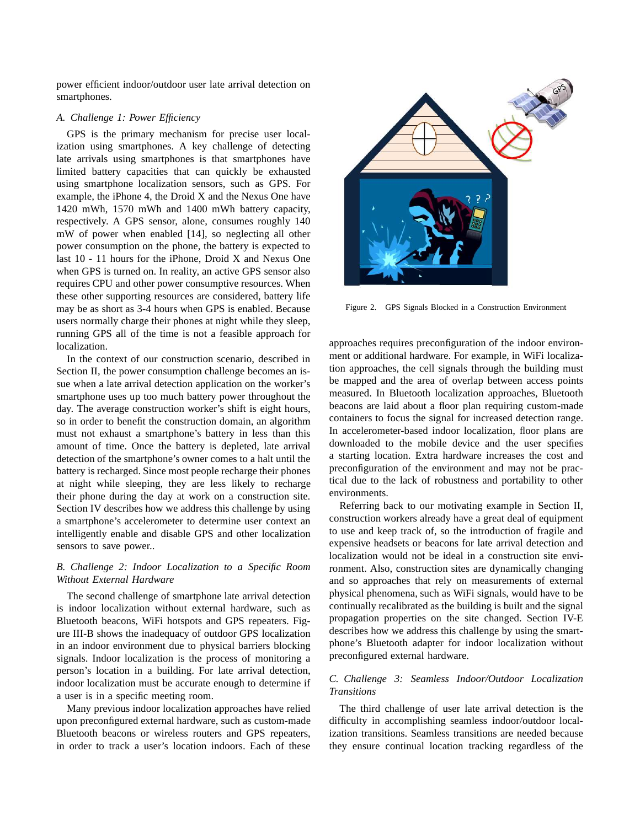power efficient indoor/outdoor user late arrival detection on smartphones.

#### *A. Challenge 1: Power Efficiency*

GPS is the primary mechanism for precise user localization using smartphones. A key challenge of detecting late arrivals using smartphones is that smartphones have limited battery capacities that can quickly be exhausted using smartphone localization sensors, such as GPS. For example, the iPhone 4, the Droid X and the Nexus One have 1420 mWh, 1570 mWh and 1400 mWh battery capacity, respectively. A GPS sensor, alone, consumes roughly 140 mW of power when enabled [14], so neglecting all other power consumption on the phone, the battery is expected to last 10 - 11 hours for the iPhone, Droid X and Nexus One when GPS is turned on. In reality, an active GPS sensor also requires CPU and other power consumptive resources. When these other supporting resources are considered, battery life may be as short as 3-4 hours when GPS is enabled. Because users normally charge their phones at night while they sleep, running GPS all of the time is not a feasible approach for localization.

In the context of our construction scenario, described in Section II, the power consumption challenge becomes an issue when a late arrival detection application on the worker's smartphone uses up too much battery power throughout the day. The average construction worker's shift is eight hours, so in order to benefit the construction domain, an algorithm must not exhaust a smartphone's battery in less than this amount of time. Once the battery is depleted, late arrival detection of the smartphone's owner comes to a halt until the battery is recharged. Since most people recharge their phones at night while sleeping, they are less likely to recharge their phone during the day at work on a construction site. Section IV describes how we address this challenge by using a smartphone's accelerometer to determine user context an intelligently enable and disable GPS and other localization sensors to save power..

# *B. Challenge 2: Indoor Localization to a Specific Room Without External Hardware*

The second challenge of smartphone late arrival detection is indoor localization without external hardware, such as Bluetooth beacons, WiFi hotspots and GPS repeaters. Figure III-B shows the inadequacy of outdoor GPS localization in an indoor environment due to physical barriers blocking signals. Indoor localization is the process of monitoring a person's location in a building. For late arrival detection, indoor localization must be accurate enough to determine if a user is in a specific meeting room.

Many previous indoor localization approaches have relied upon preconfigured external hardware, such as custom-made Bluetooth beacons or wireless routers and GPS repeaters, in order to track a user's location indoors. Each of these



Figure 2. GPS Signals Blocked in a Construction Environment

approaches requires preconfiguration of the indoor environment or additional hardware. For example, in WiFi localization approaches, the cell signals through the building must be mapped and the area of overlap between access points measured. In Bluetooth localization approaches, Bluetooth beacons are laid about a floor plan requiring custom-made containers to focus the signal for increased detection range. In accelerometer-based indoor localization, floor plans are downloaded to the mobile device and the user specifies a starting location. Extra hardware increases the cost and preconfiguration of the environment and may not be practical due to the lack of robustness and portability to other environments.

Referring back to our motivating example in Section II, construction workers already have a great deal of equipment to use and keep track of, so the introduction of fragile and expensive headsets or beacons for late arrival detection and localization would not be ideal in a construction site environment. Also, construction sites are dynamically changing and so approaches that rely on measurements of external physical phenomena, such as WiFi signals, would have to be continually recalibrated as the building is built and the signal propagation properties on the site changed. Section IV-E describes how we address this challenge by using the smartphone's Bluetooth adapter for indoor localization without preconfigured external hardware.

### *C. Challenge 3: Seamless Indoor/Outdoor Localization Transitions*

The third challenge of user late arrival detection is the difficulty in accomplishing seamless indoor/outdoor localization transitions. Seamless transitions are needed because they ensure continual location tracking regardless of the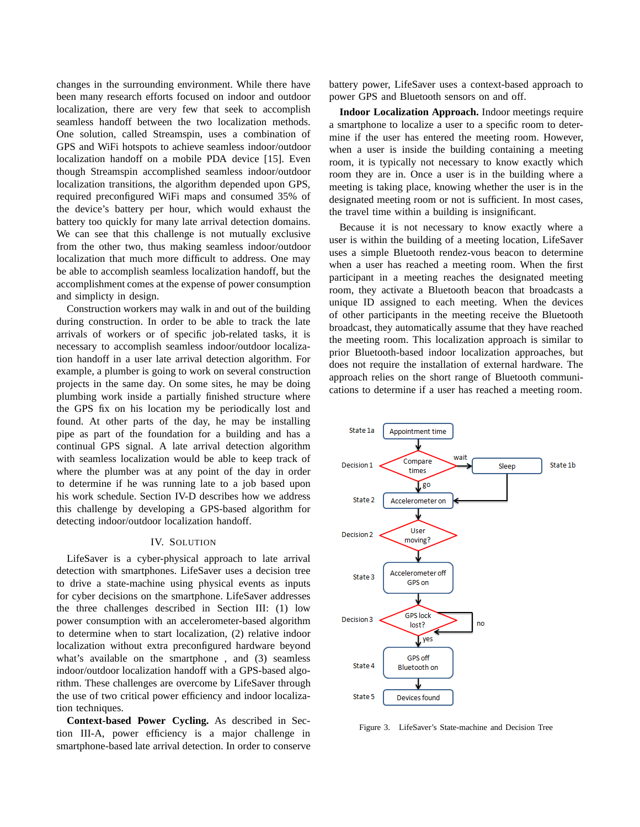changes in the surrounding environment. While there have been many research efforts focused on indoor and outdoor localization, there are very few that seek to accomplish seamless handoff between the two localization methods. One solution, called Streamspin, uses a combination of GPS and WiFi hotspots to achieve seamless indoor/outdoor localization handoff on a mobile PDA device [15]. Even though Streamspin accomplished seamless indoor/outdoor localization transitions, the algorithm depended upon GPS, required preconfigured WiFi maps and consumed 35% of the device's battery per hour, which would exhaust the battery too quickly for many late arrival detection domains. We can see that this challenge is not mutually exclusive from the other two, thus making seamless indoor/outdoor localization that much more difficult to address. One may be able to accomplish seamless localization handoff, but the accomplishment comes at the expense of power consumption and simplicty in design.

Construction workers may walk in and out of the building during construction. In order to be able to track the late arrivals of workers or of specific job-related tasks, it is necessary to accomplish seamless indoor/outdoor localization handoff in a user late arrival detection algorithm. For example, a plumber is going to work on several construction projects in the same day. On some sites, he may be doing plumbing work inside a partially finished structure where the GPS fix on his location my be periodically lost and found. At other parts of the day, he may be installing pipe as part of the foundation for a building and has a continual GPS signal. A late arrival detection algorithm with seamless localization would be able to keep track of where the plumber was at any point of the day in order to determine if he was running late to a job based upon his work schedule. Section IV-D describes how we address this challenge by developing a GPS-based algorithm for detecting indoor/outdoor localization handoff.

#### IV. SOLUTION

LifeSaver is a cyber-physical approach to late arrival detection with smartphones. LifeSaver uses a decision tree to drive a state-machine using physical events as inputs for cyber decisions on the smartphone. LifeSaver addresses the three challenges described in Section III: (1) low power consumption with an accelerometer-based algorithm to determine when to start localization, (2) relative indoor localization without extra preconfigured hardware beyond what's available on the smartphone , and (3) seamless indoor/outdoor localization handoff with a GPS-based algorithm. These challenges are overcome by LifeSaver through the use of two critical power efficiency and indoor localization techniques.

**Context-based Power Cycling.** As described in Section III-A, power efficiency is a major challenge in smartphone-based late arrival detection. In order to conserve battery power, LifeSaver uses a context-based approach to power GPS and Bluetooth sensors on and off.

**Indoor Localization Approach.** Indoor meetings require a smartphone to localize a user to a specific room to determine if the user has entered the meeting room. However, when a user is inside the building containing a meeting room, it is typically not necessary to know exactly which room they are in. Once a user is in the building where a meeting is taking place, knowing whether the user is in the designated meeting room or not is sufficient. In most cases, the travel time within a building is insignificant.

Because it is not necessary to know exactly where a user is within the building of a meeting location, LifeSaver uses a simple Bluetooth rendez-vous beacon to determine when a user has reached a meeting room. When the first participant in a meeting reaches the designated meeting room, they activate a Bluetooth beacon that broadcasts a unique ID assigned to each meeting. When the devices of other participants in the meeting receive the Bluetooth broadcast, they automatically assume that they have reached the meeting room. This localization approach is similar to prior Bluetooth-based indoor localization approaches, but does not require the installation of external hardware. The approach relies on the short range of Bluetooth communications to determine if a user has reached a meeting room.



Figure 3. LifeSaver's State-machine and Decision Tree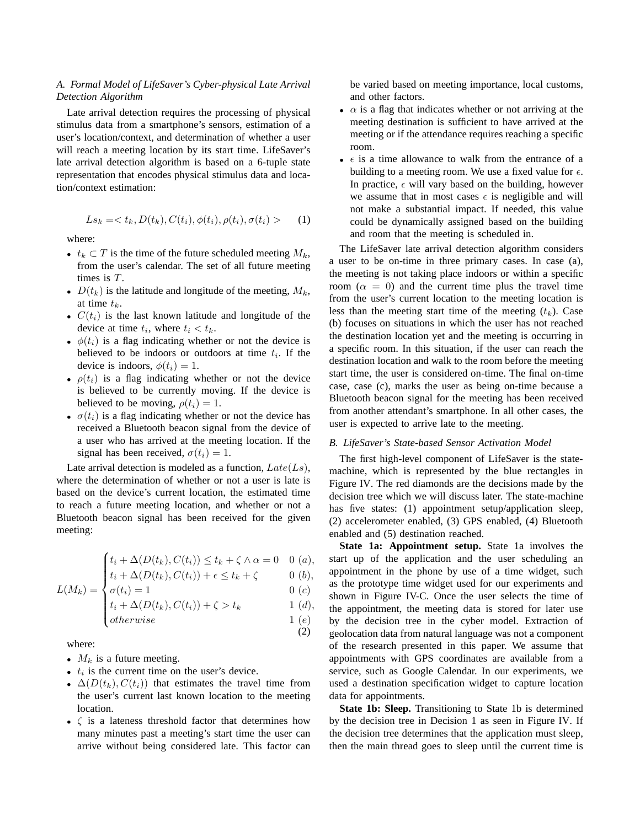# *A. Formal Model of LifeSaver's Cyber-physical Late Arrival Detection Algorithm*

Late arrival detection requires the processing of physical stimulus data from a smartphone's sensors, estimation of a user's location/context, and determination of whether a user will reach a meeting location by its start time. LifeSaver's late arrival detection algorithm is based on a 6-tuple state representation that encodes physical stimulus data and location/context estimation:

$$
Ls_k = \langle t_k, D(t_k), C(t_i), \phi(t_i), \rho(t_i), \sigma(t_i) \rangle \tag{1}
$$

where:

- $t_k \subset T$  is the time of the future scheduled meeting  $M_k$ , from the user's calendar. The set of all future meeting times is  $T$ .
- $D(t_k)$  is the latitude and longitude of the meeting,  $M_k$ , at time  $t_k$ .
- $C(t_i)$  is the last known latitude and longitude of the device at time  $t_i$ , where  $t_i < t_k$ .
- $\phi(t_i)$  is a flag indicating whether or not the device is believed to be indoors or outdoors at time  $t_i$ . If the device is indoors,  $\phi(t_i) = 1$ .
- $\rho(t_i)$  is a flag indicating whether or not the device is believed to be currently moving. If the device is believed to be moving,  $\rho(t_i) = 1$ .
- $\sigma(t_i)$  is a flag indicating whether or not the device has received a Bluetooth beacon signal from the device of a user who has arrived at the meeting location. If the signal has been received,  $\sigma(t_i) = 1$ .

Late arrival detection is modeled as a function,  $Late(Ls)$ , where the determination of whether or not a user is late is based on the device's current location, the estimated time to reach a future meeting location, and whether or not a Bluetooth beacon signal has been received for the given meeting:

$$
\int t_i + \Delta(D(t_k), C(t_i)) \le t_k + \zeta \wedge \alpha = 0 \quad 0 \ (a),
$$

$$
t_i + \Delta(D(t_k), C(t_i)) \leq \epsilon_k + \zeta \wedge \alpha = 0 \quad \text{or} \quad (a),
$$
  

$$
t_i + \Delta(D(t_k), C(t_i)) + \epsilon \leq t_k + \zeta \qquad \qquad 0 \quad (b),
$$
  

$$
\sigma(t) = 1 \qquad \qquad 0 \quad (c)
$$

$$
L(M_k) = \left\{ \sigma(t_i) = 1 \right. \qquad \qquad 0 \ (c)
$$

$$
\begin{cases}\n t_i + \Delta(D(t_k), C(t_i)) + \zeta > t_k \\
otherwise & 1 \ (e)\n\end{cases}
$$

$$
otherwise \hspace{2.6cm} 1 \hspace{.0cm} (e)
$$

(2)

where:

- $M_k$  is a future meeting.
- $t_i$  is the current time on the user's device.
- $\Delta(D(t_k), C(t_i))$  that estimates the travel time from the user's current last known location to the meeting location.
- $\zeta$  is a lateness threshold factor that determines how many minutes past a meeting's start time the user can arrive without being considered late. This factor can

be varied based on meeting importance, local customs, and other factors.

- $\alpha$  is a flag that indicates whether or not arriving at the meeting destination is sufficient to have arrived at the meeting or if the attendance requires reaching a specific room.
- $\epsilon$  is a time allowance to walk from the entrance of a building to a meeting room. We use a fixed value for  $\epsilon$ . In practice,  $\epsilon$  will vary based on the building, however we assume that in most cases  $\epsilon$  is negligible and will not make a substantial impact. If needed, this value could be dynamically assigned based on the building and room that the meeting is scheduled in.

The LifeSaver late arrival detection algorithm considers a user to be on-time in three primary cases. In case (a), the meeting is not taking place indoors or within a specific room ( $\alpha = 0$ ) and the current time plus the travel time from the user's current location to the meeting location is less than the meeting start time of the meeting  $(t_k)$ . Case (b) focuses on situations in which the user has not reached the destination location yet and the meeting is occurring in a specific room. In this situation, if the user can reach the destination location and walk to the room before the meeting start time, the user is considered on-time. The final on-time case, case (c), marks the user as being on-time because a Bluetooth beacon signal for the meeting has been received from another attendant's smartphone. In all other cases, the user is expected to arrive late to the meeting.

#### *B. LifeSaver's State-based Sensor Activation Model*

The first high-level component of LifeSaver is the statemachine, which is represented by the blue rectangles in Figure IV. The red diamonds are the decisions made by the decision tree which we will discuss later. The state-machine has five states: (1) appointment setup/application sleep, (2) accelerometer enabled, (3) GPS enabled, (4) Bluetooth enabled and (5) destination reached.

**State 1a: Appointment setup.** State 1a involves the start up of the application and the user scheduling an appointment in the phone by use of a time widget, such as the prototype time widget used for our experiments and shown in Figure IV-C. Once the user selects the time of the appointment, the meeting data is stored for later use by the decision tree in the cyber model. Extraction of geolocation data from natural language was not a component of the research presented in this paper. We assume that appointments with GPS coordinates are available from a service, such as Google Calendar. In our experiments, we used a destination specification widget to capture location data for appointments.

**State 1b: Sleep.** Transitioning to State 1b is determined by the decision tree in Decision 1 as seen in Figure IV. If the decision tree determines that the application must sleep, then the main thread goes to sleep until the current time is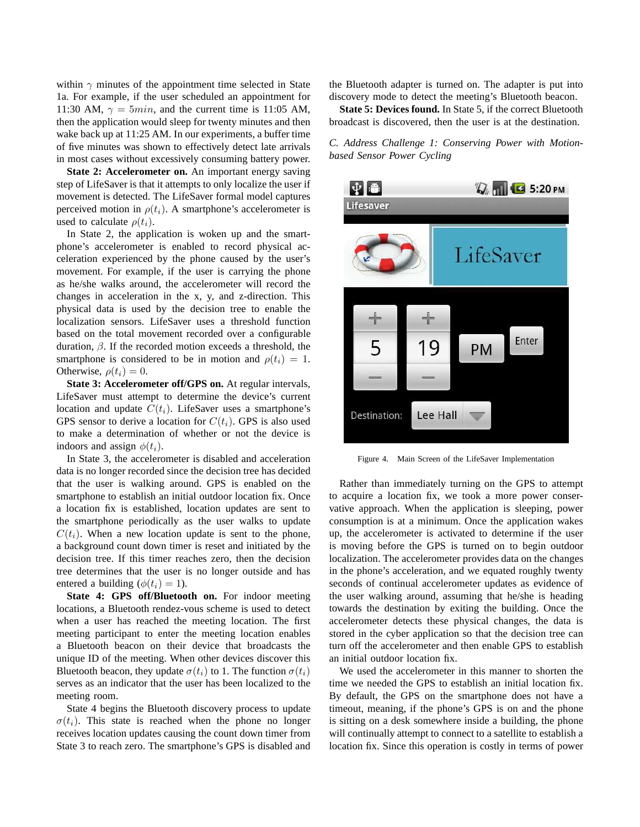within  $\gamma$  minutes of the appointment time selected in State 1a. For example, if the user scheduled an appointment for 11:30 AM,  $\gamma = 5min$ , and the current time is 11:05 AM, then the application would sleep for twenty minutes and then wake back up at 11:25 AM. In our experiments, a buffer time of five minutes was shown to effectively detect late arrivals in most cases without excessively consuming battery power.

**State 2: Accelerometer on.** An important energy saving step of LifeSaver is that it attempts to only localize the user if movement is detected. The LifeSaver formal model captures perceived motion in  $\rho(t_i)$ . A smartphone's accelerometer is used to calculate  $\rho(t_i)$ .

In State 2, the application is woken up and the smartphone's accelerometer is enabled to record physical acceleration experienced by the phone caused by the user's movement. For example, if the user is carrying the phone as he/she walks around, the accelerometer will record the changes in acceleration in the x, y, and z-direction. This physical data is used by the decision tree to enable the localization sensors. LifeSaver uses a threshold function based on the total movement recorded over a configurable duration, β. If the recorded motion exceeds a threshold, the smartphone is considered to be in motion and  $\rho(t_i) = 1$ . Otherwise,  $\rho(t_i) = 0$ .

**State 3: Accelerometer off/GPS on.** At regular intervals, LifeSaver must attempt to determine the device's current location and update  $C(t_i)$ . LifeSaver uses a smartphone's GPS sensor to derive a location for  $C(t_i)$ . GPS is also used to make a determination of whether or not the device is indoors and assign  $\phi(t_i)$ .

In State 3, the accelerometer is disabled and acceleration data is no longer recorded since the decision tree has decided that the user is walking around. GPS is enabled on the smartphone to establish an initial outdoor location fix. Once a location fix is established, location updates are sent to the smartphone periodically as the user walks to update  $C(t_i)$ . When a new location update is sent to the phone, a background count down timer is reset and initiated by the decision tree. If this timer reaches zero, then the decision tree determines that the user is no longer outside and has entered a building ( $\phi(t_i) = 1$ ).

**State 4: GPS off/Bluetooth on.** For indoor meeting locations, a Bluetooth rendez-vous scheme is used to detect when a user has reached the meeting location. The first meeting participant to enter the meeting location enables a Bluetooth beacon on their device that broadcasts the unique ID of the meeting. When other devices discover this Bluetooth beacon, they update  $\sigma(t_i)$  to 1. The function  $\sigma(t_i)$ serves as an indicator that the user has been localized to the meeting room.

State 4 begins the Bluetooth discovery process to update  $\sigma(t_i)$ . This state is reached when the phone no longer receives location updates causing the count down timer from State 3 to reach zero. The smartphone's GPS is disabled and the Bluetooth adapter is turned on. The adapter is put into discovery mode to detect the meeting's Bluetooth beacon.

**State 5: Devices found.** In State 5, if the correct Bluetooth broadcast is discovered, then the user is at the destination.

*C. Address Challenge 1: Conserving Power with Motionbased Sensor Power Cycling*



Figure 4. Main Screen of the LifeSaver Implementation

Rather than immediately turning on the GPS to attempt to acquire a location fix, we took a more power conservative approach. When the application is sleeping, power consumption is at a minimum. Once the application wakes up, the accelerometer is activated to determine if the user is moving before the GPS is turned on to begin outdoor localization. The accelerometer provides data on the changes in the phone's acceleration, and we equated roughly twenty seconds of continual accelerometer updates as evidence of the user walking around, assuming that he/she is heading towards the destination by exiting the building. Once the accelerometer detects these physical changes, the data is stored in the cyber application so that the decision tree can turn off the accelerometer and then enable GPS to establish an initial outdoor location fix.

We used the accelerometer in this manner to shorten the time we needed the GPS to establish an initial location fix. By default, the GPS on the smartphone does not have a timeout, meaning, if the phone's GPS is on and the phone is sitting on a desk somewhere inside a building, the phone will continually attempt to connect to a satellite to establish a location fix. Since this operation is costly in terms of power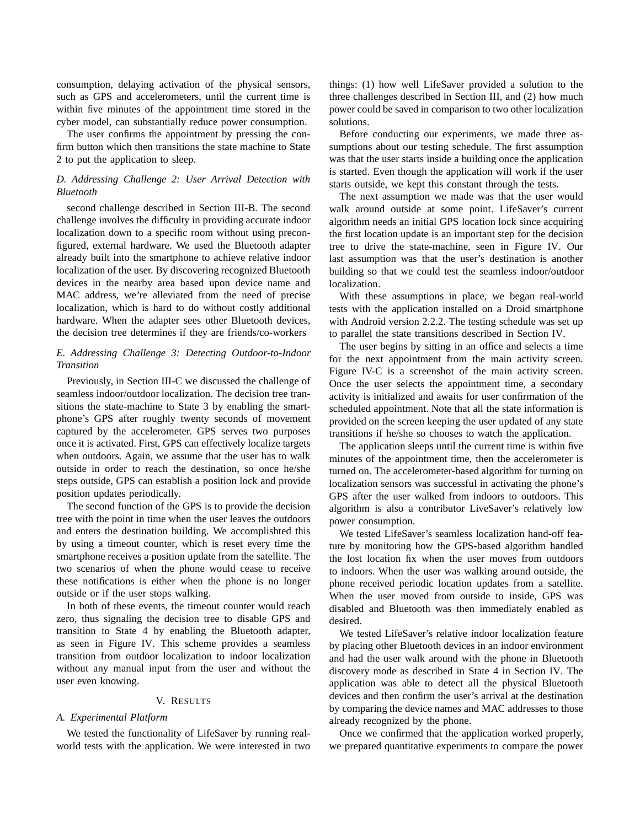consumption, delaying activation of the physical sensors, such as GPS and accelerometers, until the current time is within five minutes of the appointment time stored in the cyber model, can substantially reduce power consumption.

The user confirms the appointment by pressing the confirm button which then transitions the state machine to State 2 to put the application to sleep.

# *D. Addressing Challenge 2: User Arrival Detection with Bluetooth*

second challenge described in Section III-B. The second challenge involves the difficulty in providing accurate indoor localization down to a specific room without using preconfigured, external hardware. We used the Bluetooth adapter already built into the smartphone to achieve relative indoor localization of the user. By discovering recognized Bluetooth devices in the nearby area based upon device name and MAC address, we're alleviated from the need of precise localization, which is hard to do without costly additional hardware. When the adapter sees other Bluetooth devices, the decision tree determines if they are friends/co-workers

# *E. Addressing Challenge 3: Detecting Outdoor-to-Indoor Transition*

Previously, in Section III-C we discussed the challenge of seamless indoor/outdoor localization. The decision tree transitions the state-machine to State 3 by enabling the smartphone's GPS after roughly twenty seconds of movement captured by the accelerometer. GPS serves two purposes once it is activated. First, GPS can effectively localize targets when outdoors. Again, we assume that the user has to walk outside in order to reach the destination, so once he/she steps outside, GPS can establish a position lock and provide position updates periodically.

The second function of the GPS is to provide the decision tree with the point in time when the user leaves the outdoors and enters the destination building. We accomplishted this by using a timeout counter, which is reset every time the smartphone receives a position update from the satellite. The two scenarios of when the phone would cease to receive these notifications is either when the phone is no longer outside or if the user stops walking.

In both of these events, the timeout counter would reach zero, thus signaling the decision tree to disable GPS and transition to State 4 by enabling the Bluetooth adapter, as seen in Figure IV. This scheme provides a seamless transition from outdoor localization to indoor localization without any manual input from the user and without the user even knowing.

#### V. RESULTS

### *A. Experimental Platform*

We tested the functionality of LifeSaver by running realworld tests with the application. We were interested in two things: (1) how well LifeSaver provided a solution to the three challenges described in Section III, and (2) how much power could be saved in comparison to two other localization solutions.

Before conducting our experiments, we made three assumptions about our testing schedule. The first assumption was that the user starts inside a building once the application is started. Even though the application will work if the user starts outside, we kept this constant through the tests.

The next assumption we made was that the user would walk around outside at some point. LifeSaver's current algorithm needs an initial GPS location lock since acquiring the first location update is an important step for the decision tree to drive the state-machine, seen in Figure IV. Our last assumption was that the user's destination is another building so that we could test the seamless indoor/outdoor localization.

With these assumptions in place, we began real-world tests with the application installed on a Droid smartphone with Android version 2.2.2. The testing schedule was set up to parallel the state transitions described in Section IV.

The user begins by sitting in an office and selects a time for the next appointment from the main activity screen. Figure IV-C is a screenshot of the main activity screen. Once the user selects the appointment time, a secondary activity is initialized and awaits for user confirmation of the scheduled appointment. Note that all the state information is provided on the screen keeping the user updated of any state transitions if he/she so chooses to watch the application.

The application sleeps until the current time is within five minutes of the appointment time, then the accelerometer is turned on. The accelerometer-based algorithm for turning on localization sensors was successful in activating the phone's GPS after the user walked from indoors to outdoors. This algorithm is also a contributor LiveSaver's relatively low power consumption.

We tested LifeSaver's seamless localization hand-off feature by monitoring how the GPS-based algorithm handled the lost location fix when the user moves from outdoors to indoors. When the user was walking around outside, the phone received periodic location updates from a satellite. When the user moved from outside to inside, GPS was disabled and Bluetooth was then immediately enabled as desired.

We tested LifeSaver's relative indoor localization feature by placing other Bluetooth devices in an indoor environment and had the user walk around with the phone in Bluetooth discovery mode as described in State 4 in Section IV. The application was able to detect all the physical Bluetooth devices and then confirm the user's arrival at the destination by comparing the device names and MAC addresses to those already recognized by the phone.

Once we confirmed that the application worked properly, we prepared quantitative experiments to compare the power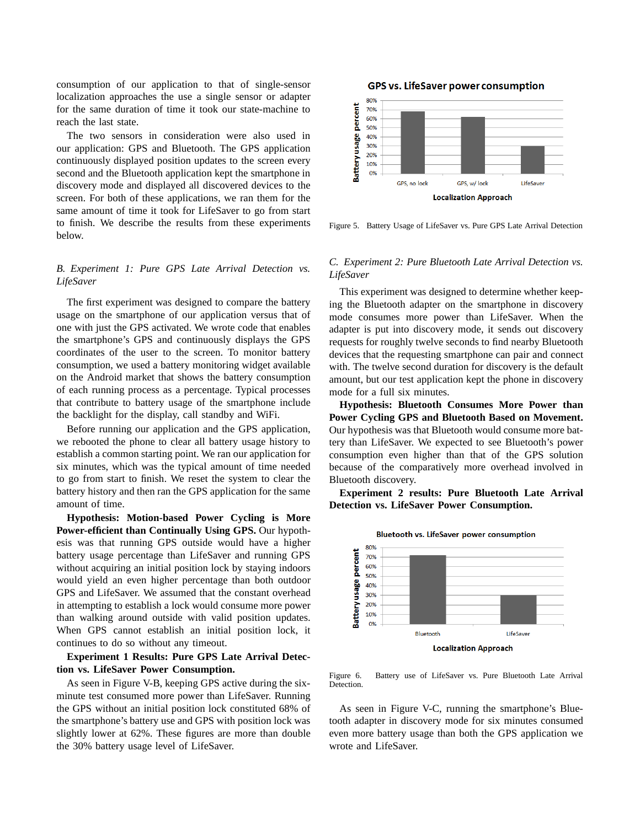consumption of our application to that of single-sensor localization approaches the use a single sensor or adapter for the same duration of time it took our state-machine to reach the last state.

The two sensors in consideration were also used in our application: GPS and Bluetooth. The GPS application continuously displayed position updates to the screen every second and the Bluetooth application kept the smartphone in discovery mode and displayed all discovered devices to the screen. For both of these applications, we ran them for the same amount of time it took for LifeSaver to go from start to finish. We describe the results from these experiments below.

# *B. Experiment 1: Pure GPS Late Arrival Detection vs. LifeSaver*

The first experiment was designed to compare the battery usage on the smartphone of our application versus that of one with just the GPS activated. We wrote code that enables the smartphone's GPS and continuously displays the GPS coordinates of the user to the screen. To monitor battery consumption, we used a battery monitoring widget available on the Android market that shows the battery consumption of each running process as a percentage. Typical processes that contribute to battery usage of the smartphone include the backlight for the display, call standby and WiFi.

Before running our application and the GPS application, we rebooted the phone to clear all battery usage history to establish a common starting point. We ran our application for six minutes, which was the typical amount of time needed to go from start to finish. We reset the system to clear the battery history and then ran the GPS application for the same amount of time.

**Hypothesis: Motion-based Power Cycling is More Power-efficient than Continually Using GPS.** Our hypothesis was that running GPS outside would have a higher battery usage percentage than LifeSaver and running GPS without acquiring an initial position lock by staying indoors would yield an even higher percentage than both outdoor GPS and LifeSaver. We assumed that the constant overhead in attempting to establish a lock would consume more power than walking around outside with valid position updates. When GPS cannot establish an initial position lock, it continues to do so without any timeout.

**Experiment 1 Results: Pure GPS Late Arrival Detection vs. LifeSaver Power Consumption.**

As seen in Figure V-B, keeping GPS active during the sixminute test consumed more power than LifeSaver. Running the GPS without an initial position lock constituted 68% of the smartphone's battery use and GPS with position lock was slightly lower at 62%. These figures are more than double the 30% battery usage level of LifeSaver.





Figure 5. Battery Usage of LifeSaver vs. Pure GPS Late Arrival Detection

# *C. Experiment 2: Pure Bluetooth Late Arrival Detection vs. LifeSaver*

This experiment was designed to determine whether keeping the Bluetooth adapter on the smartphone in discovery mode consumes more power than LifeSaver. When the adapter is put into discovery mode, it sends out discovery requests for roughly twelve seconds to find nearby Bluetooth devices that the requesting smartphone can pair and connect with. The twelve second duration for discovery is the default amount, but our test application kept the phone in discovery mode for a full six minutes.

**Hypothesis: Bluetooth Consumes More Power than Power Cycling GPS and Bluetooth Based on Movement.** Our hypothesis was that Bluetooth would consume more battery than LifeSaver. We expected to see Bluetooth's power consumption even higher than that of the GPS solution because of the comparatively more overhead involved in Bluetooth discovery.

**Experiment 2 results: Pure Bluetooth Late Arrival Detection vs. LifeSaver Power Consumption.**



Figure 6. Battery use of LifeSaver vs. Pure Bluetooth Late Arrival Detection.

As seen in Figure V-C, running the smartphone's Bluetooth adapter in discovery mode for six minutes consumed even more battery usage than both the GPS application we wrote and LifeSaver.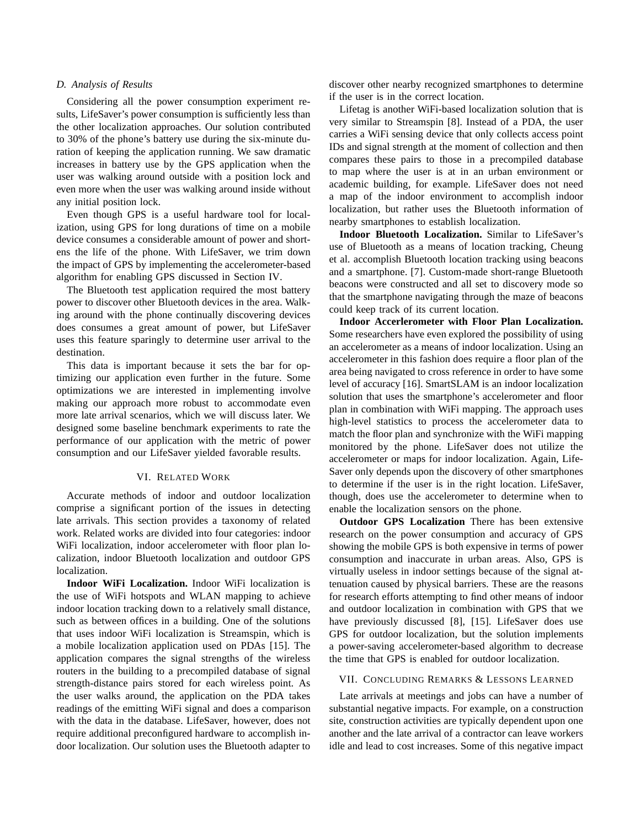### *D. Analysis of Results*

Considering all the power consumption experiment results, LifeSaver's power consumption is sufficiently less than the other localization approaches. Our solution contributed to 30% of the phone's battery use during the six-minute duration of keeping the application running. We saw dramatic increases in battery use by the GPS application when the user was walking around outside with a position lock and even more when the user was walking around inside without any initial position lock.

Even though GPS is a useful hardware tool for localization, using GPS for long durations of time on a mobile device consumes a considerable amount of power and shortens the life of the phone. With LifeSaver, we trim down the impact of GPS by implementing the accelerometer-based algorithm for enabling GPS discussed in Section IV.

The Bluetooth test application required the most battery power to discover other Bluetooth devices in the area. Walking around with the phone continually discovering devices does consumes a great amount of power, but LifeSaver uses this feature sparingly to determine user arrival to the destination.

This data is important because it sets the bar for optimizing our application even further in the future. Some optimizations we are interested in implementing involve making our approach more robust to accommodate even more late arrival scenarios, which we will discuss later. We designed some baseline benchmark experiments to rate the performance of our application with the metric of power consumption and our LifeSaver yielded favorable results.

#### VI. RELATED WORK

Accurate methods of indoor and outdoor localization comprise a significant portion of the issues in detecting late arrivals. This section provides a taxonomy of related work. Related works are divided into four categories: indoor WiFi localization, indoor accelerometer with floor plan localization, indoor Bluetooth localization and outdoor GPS localization.

**Indoor WiFi Localization.** Indoor WiFi localization is the use of WiFi hotspots and WLAN mapping to achieve indoor location tracking down to a relatively small distance, such as between offices in a building. One of the solutions that uses indoor WiFi localization is Streamspin, which is a mobile localization application used on PDAs [15]. The application compares the signal strengths of the wireless routers in the building to a precompiled database of signal strength-distance pairs stored for each wireless point. As the user walks around, the application on the PDA takes readings of the emitting WiFi signal and does a comparison with the data in the database. LifeSaver, however, does not require additional preconfigured hardware to accomplish indoor localization. Our solution uses the Bluetooth adapter to discover other nearby recognized smartphones to determine if the user is in the correct location.

Lifetag is another WiFi-based localization solution that is very similar to Streamspin [8]. Instead of a PDA, the user carries a WiFi sensing device that only collects access point IDs and signal strength at the moment of collection and then compares these pairs to those in a precompiled database to map where the user is at in an urban environment or academic building, for example. LifeSaver does not need a map of the indoor environment to accomplish indoor localization, but rather uses the Bluetooth information of nearby smartphones to establish localization.

**Indoor Bluetooth Localization.** Similar to LifeSaver's use of Bluetooth as a means of location tracking, Cheung et al. accomplish Bluetooth location tracking using beacons and a smartphone. [7]. Custom-made short-range Bluetooth beacons were constructed and all set to discovery mode so that the smartphone navigating through the maze of beacons could keep track of its current location.

**Indoor Accerlerometer with Floor Plan Localization.** Some researchers have even explored the possibility of using an accelerometer as a means of indoor localization. Using an accelerometer in this fashion does require a floor plan of the area being navigated to cross reference in order to have some level of accuracy [16]. SmartSLAM is an indoor localization solution that uses the smartphone's accelerometer and floor plan in combination with WiFi mapping. The approach uses high-level statistics to process the accelerometer data to match the floor plan and synchronize with the WiFi mapping monitored by the phone. LifeSaver does not utilize the accelerometer or maps for indoor localization. Again, Life-Saver only depends upon the discovery of other smartphones to determine if the user is in the right location. LifeSaver, though, does use the accelerometer to determine when to enable the localization sensors on the phone.

**Outdoor GPS Localization** There has been extensive research on the power consumption and accuracy of GPS showing the mobile GPS is both expensive in terms of power consumption and inaccurate in urban areas. Also, GPS is virtually useless in indoor settings because of the signal attenuation caused by physical barriers. These are the reasons for research efforts attempting to find other means of indoor and outdoor localization in combination with GPS that we have previously discussed [8], [15]. LifeSaver does use GPS for outdoor localization, but the solution implements a power-saving accelerometer-based algorithm to decrease the time that GPS is enabled for outdoor localization.

### VII. CONCLUDING REMARKS & LESSONS LEARNED

Late arrivals at meetings and jobs can have a number of substantial negative impacts. For example, on a construction site, construction activities are typically dependent upon one another and the late arrival of a contractor can leave workers idle and lead to cost increases. Some of this negative impact